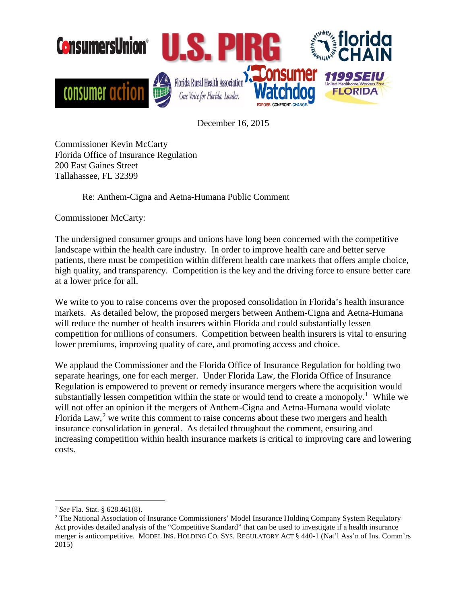

December 16, 2015

Commissioner Kevin McCarty Florida Office of Insurance Regulation 200 East Gaines Street Tallahassee, FL 32399

Re: Anthem-Cigna and Aetna-Humana Public Comment

Commissioner McCarty:

The undersigned consumer groups and unions have long been concerned with the competitive landscape within the health care industry. In order to improve health care and better serve patients, there must be competition within different health care markets that offers ample choice, high quality, and transparency. Competition is the key and the driving force to ensure better care at a lower price for all.

We write to you to raise concerns over the proposed consolidation in Florida's health insurance markets. As detailed below, the proposed mergers between Anthem-Cigna and Aetna-Humana will reduce the number of health insurers within Florida and could substantially lessen competition for millions of consumers. Competition between health insurers is vital to ensuring lower premiums, improving quality of care, and promoting access and choice.

We applaud the Commissioner and the Florida Office of Insurance Regulation for holding two separate hearings, one for each merger. Under Florida Law, the Florida Office of Insurance Regulation is empowered to prevent or remedy insurance mergers where the acquisition would substantially lessen competition within the state or would tend to create a monopoly.<sup>[1](#page-0-0)</sup> While we will not offer an opinion if the mergers of Anthem-Cigna and Aetna-Humana would violate Florida Law,<sup>[2](#page-0-1)</sup> we write this comment to raise concerns about these two mergers and health insurance consolidation in general. As detailed throughout the comment, ensuring and increasing competition within health insurance markets is critical to improving care and lowering costs.

<span id="page-0-0"></span> <sup>1</sup> *See* Fla. Stat. § 628.461(8).

<span id="page-0-1"></span><sup>&</sup>lt;sup>2</sup> The National Association of Insurance Commissioners' Model Insurance Holding Company System Regulatory Act provides detailed analysis of the "Competitive Standard" that can be used to investigate if a health insurance merger is anticompetitive. MODEL INS. HOLDING CO. SYS. REGULATORY ACT § 440-1 (Nat'l Ass'n of Ins. Comm'rs 2015)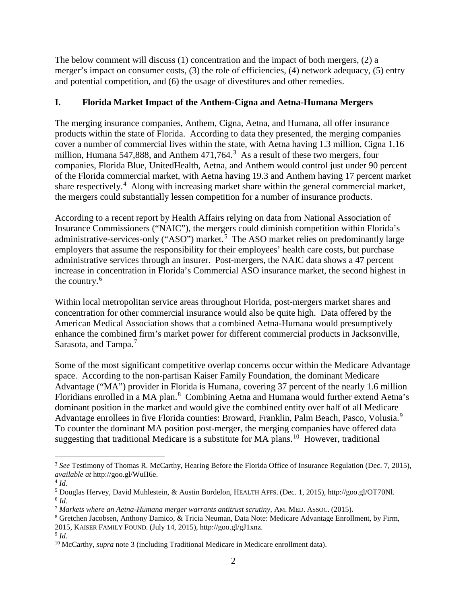The below comment will discuss (1) concentration and the impact of both mergers, (2) a merger's impact on consumer costs, (3) the role of efficiencies, (4) network adequacy, (5) entry and potential competition, and (6) the usage of divestitures and other remedies.

# **I. Florida Market Impact of the Anthem-Cigna and Aetna-Humana Mergers**

The merging insurance companies, Anthem, Cigna, Aetna, and Humana, all offer insurance products within the state of Florida. According to data they presented, the merging companies cover a number of commercial lives within the state, with Aetna having 1.3 million, Cigna 1.16 million, Humana 547,888, and Anthem 471,764.<sup>[3](#page-1-0)</sup> As a result of these two mergers, four companies, Florida Blue, UnitedHealth, Aetna, and Anthem would control just under 90 percent of the Florida commercial market, with Aetna having 19.3 and Anthem having 17 percent market share respectively.<sup>[4](#page-1-1)</sup> Along with increasing market share within the general commercial market, the mergers could substantially lessen competition for a number of insurance products.

According to a recent report by Health Affairs relying on data from National Association of Insurance Commissioners ("NAIC"), the mergers could diminish competition within Florida's administrative-services-only ("ASO") market.<sup>[5](#page-1-2)</sup> The ASO market relies on predominantly large employers that assume the responsibility for their employees' health care costs, but purchase administrative services through an insurer. Post-mergers, the NAIC data shows a 47 percent increase in concentration in Florida's Commercial ASO insurance market, the second highest in the country.<sup>[6](#page-1-3)</sup>

Within local metropolitan service areas throughout Florida, post-mergers market shares and concentration for other commercial insurance would also be quite high. Data offered by the American Medical Association shows that a combined Aetna-Humana would presumptively enhance the combined firm's market power for different commercial products in Jacksonville, Sarasota, and Tampa.<sup>[7](#page-1-4)</sup>

Some of the most significant competitive overlap concerns occur within the Medicare Advantage space. According to the non-partisan Kaiser Family Foundation, the dominant Medicare Advantage ("MA") provider in Florida is Humana, covering 37 percent of the nearly 1.6 million Floridians enrolled in a MA plan.<sup>[8](#page-1-5)</sup> Combining Aetna and Humana would further extend Aetna's dominant position in the market and would give the combined entity over half of all Medicare Advantage enrollees in five Florida counties: Broward, Franklin, Palm Beach, Pasco, Volusia.<sup>[9](#page-1-6)</sup> To counter the dominant MA position post-merger, the merging companies have offered data suggesting that traditional Medicare is a substitute for MA plans.<sup>10</sup> However, traditional

<span id="page-1-0"></span><sup>&</sup>lt;sup>3</sup> See Testimony of Thomas R. McCarthy, Hearing Before the Florida Office of Insurance Regulation (Dec. 7, 2015), *available at* http://goo.gl/WuII6e.

<span id="page-1-1"></span> $4$  *Id.* 

<span id="page-1-3"></span><span id="page-1-2"></span><sup>5</sup> Douglas Hervey, David Muhlestein, & Austin Bordelon, HEALTH AFFS. (Dec. 1, 2015), http://goo.gl/OT70Nl.  $\frac{6}{1}$ Id.<br><sup>7</sup> Markets where an Aetna-Humana merger warrants antitrust scrutiny, AM. MED. ASSOC. (2015).

<span id="page-1-4"></span>

<span id="page-1-5"></span><sup>&</sup>lt;sup>8</sup> Gretchen Jacobsen, Anthony Damico, & Tricia Neuman, Data Note: Medicare Advantage Enrollment, by Firm,

<sup>2015,</sup> KAISER FAMILY FOUND. (July 14, 2015), http://goo.gl/gJ1xnz.

<span id="page-1-6"></span><sup>9</sup> *Id.* 

<span id="page-1-7"></span><sup>&</sup>lt;sup>10</sup> McCarthy, *supra* note 3 (including Traditional Medicare in Medicare enrollment data).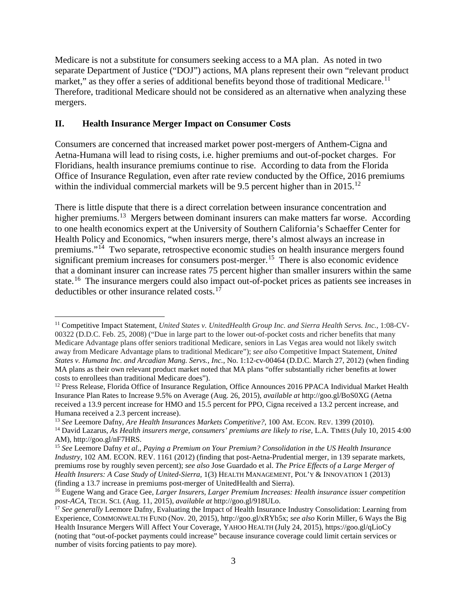Medicare is not a substitute for consumers seeking access to a MA plan. As noted in two separate Department of Justice ("DOJ") actions, MA plans represent their own "relevant product market," as they offer a series of additional benefits beyond those of traditional Medicare.<sup>[11](#page-2-0)</sup> Therefore, traditional Medicare should not be considered as an alternative when analyzing these mergers.

## **II. Health Insurance Merger Impact on Consumer Costs**

Consumers are concerned that increased market power post-mergers of Anthem-Cigna and Aetna-Humana will lead to rising costs, i.e. higher premiums and out-of-pocket charges. For Floridians, health insurance premiums continue to rise. According to data from the Florida Office of Insurance Regulation, even after rate review conducted by the Office, 2016 premiums within the individual commercial markets will be 9.5 percent higher than in 2015.<sup>[12](#page-2-1)</sup>

There is little dispute that there is a direct correlation between insurance concentration and higher premiums.<sup>[13](#page-2-2)</sup> Mergers between dominant insurers can make matters far worse. According to one health economics expert at the University of Southern California's Schaeffer Center for Health Policy and Economics, "when insurers merge, there's almost always an increase in premiums."[14](#page-2-3) Two separate, retrospective economic studies on health insurance mergers found significant premium increases for consumers post-merger.<sup>[15](#page-2-4)</sup> There is also economic evidence that a dominant insurer can increase rates 75 percent higher than smaller insurers within the same state.<sup>16</sup> The insurance mergers could also impact out-of-pocket prices as patients see increases in deductibles or other insurance related costs. $17$ 

<span id="page-2-0"></span> <sup>11</sup> Competitive Impact Statement, *United States v. UnitedHealth Group Inc. and Sierra Health Servs. Inc.*, 1:08-CV-00322 (D.D.C. Feb. 25, 2008) ("Due in large part to the lower out-of-pocket costs and richer benefits that many Medicare Advantage plans offer seniors traditional Medicare, seniors in Las Vegas area would not likely switch away from Medicare Advantage plans to traditional Medicare"); *see also* Competitive Impact Statement, *United States v. Humana Inc. and Arcadian Mang. Servs., Inc.*, No. 1:12-cv-00464 (D.D.C. March 27, 2012) (when finding MA plans as their own relevant product market noted that MA plans "offer substantially richer benefits at lower costs to enrollees than traditional Medicare does").

<span id="page-2-1"></span><sup>&</sup>lt;sup>12</sup> Press Release, Florida Office of Insurance Regulation, Office Announces 2016 PPACA Individual Market Health Insurance Plan Rates to Increase 9.5% on Average (Aug. 26, 2015), *available at* http://goo.gl/BoS0XG (Aetna received a 13.9 percent increase for HMO and 15.5 percent for PPO, Cigna received a 13.2 percent increase, and Humana received a 2.3 percent increase).<br><sup>13</sup> See Leemore Dafny, Are Health Insurances Markets Competitive?, 100 AM. ECON. REV. 1399 (2010).

<span id="page-2-2"></span>

<span id="page-2-3"></span><sup>&</sup>lt;sup>14</sup> David Lazarus, As Health insurers merge, consumers' premiums are likely to rise, L.A. TIMES (July 10, 2015 4:00 AM), http://goo.gl/nF7HRS.

<span id="page-2-4"></span><sup>&</sup>lt;sup>15</sup> See Leemore Dafny et al., Paying a Premium on Your Premium? Consolidation in the US Health Insurance *Industry*, 102 AM. ECON. REV. 1161 (2012) (finding that post-Aetna-Prudential merger, in 139 separate markets, premiums rose by roughly seven percent); *see also* Jose Guardado et al. *The Price Effects of a Large Merger of Health Insurers: A Case Study of United-Sierra,* 1(3) HEALTH MANAGEMENT, POL'Y & INNOVATION 1 (2013) (finding a 13.7 increase in premiums post-merger of UnitedHealth and Sierra).

<span id="page-2-5"></span><sup>&</sup>lt;sup>16</sup> Eugene Wang and Grace Gee, *Larger Insurers, Larger Premium Increases: Health insurance issuer competition post-ACA*, TECH. SCI. (Aug. 11, 2015), *available at* http://goo.gl/918ULo.

<span id="page-2-6"></span><sup>&</sup>lt;sup>17</sup> See generally Leemore Dafny, Evaluating the Impact of Health Insurance Industry Consolidation: Learning from Experience, COMMONWEALTH FUND (Nov. 20, 2015), http://goo.gl/xRYb5x; *see also* Korin Miller, 6 Ways the Big Health Insurance Mergers Will Affect Your Coverage, YAHOO HEALTH (July 24, 2015), https://goo.gl/qLioCy (noting that "out-of-pocket payments could increase" because insurance coverage could limit certain services or number of visits forcing patients to pay more).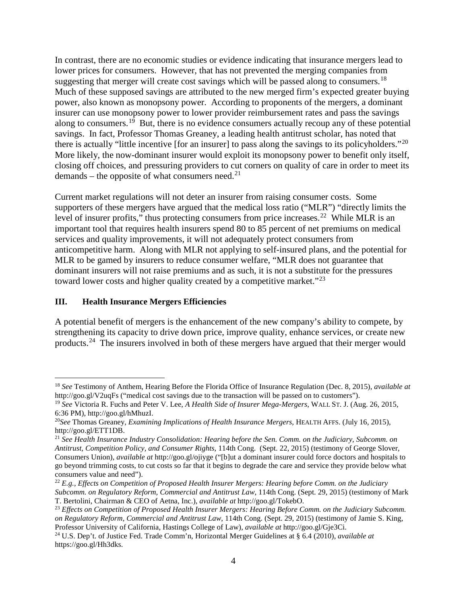In contrast, there are no economic studies or evidence indicating that insurance mergers lead to lower prices for consumers. However, that has not prevented the merging companies from suggesting that merger will create cost savings which will be passed along to consumers.<sup>[18](#page-3-0)</sup> Much of these supposed savings are attributed to the new merged firm's expected greater buying power, also known as monopsony power. According to proponents of the mergers, a dominant insurer can use monopsony power to lower provider reimbursement rates and pass the savings along to consumers.<sup>[19](#page-3-1)</sup> But, there is no evidence consumers actually recoup any of these potential savings. In fact, Professor Thomas Greaney, a leading health antitrust scholar, has noted that there is actually "little incentive [for an insurer] to pass along the savings to its policyholders."[20](#page-3-2) More likely, the now-dominant insurer would exploit its monopsony power to benefit only itself, closing off choices, and pressuring providers to cut corners on quality of care in order to meet its demands – the opposite of what consumers need. $^{21}$  $^{21}$  $^{21}$ 

Current market regulations will not deter an insurer from raising consumer costs. Some supporters of these mergers have argued that the medical loss ratio ("MLR") "directly limits the level of insurer profits," thus protecting consumers from price increases.<sup>[22](#page-3-4)</sup> While MLR is an important tool that requires health insurers spend 80 to 85 percent of net premiums on medical services and quality improvements, it will not adequately protect consumers from anticompetitive harm. Along with MLR not applying to self-insured plans, and the potential for MLR to be gamed by insurers to reduce consumer welfare, "MLR does not guarantee that dominant insurers will not raise premiums and as such, it is not a substitute for the pressures toward lower costs and higher quality created by a competitive market."<sup>[23](#page-3-5)</sup>

#### **III. Health Insurance Mergers Efficiencies**

A potential benefit of mergers is the enhancement of the new company's ability to compete, by strengthening its capacity to drive down price, improve quality, enhance services, or create new products.[24](#page-3-6) The insurers involved in both of these mergers have argued that their merger would

<span id="page-3-0"></span> <sup>18</sup> *See* Testimony of Anthem, Hearing Before the Florida Office of Insurance Regulation (Dec. 8, 2015), *available at*  http://goo.gl/V2uqFs ("medical cost savings due to the transaction will be passed on to customers").

<span id="page-3-1"></span><sup>19</sup> *See* Victoria R. Fuchs and Peter V. Lee, *A Health Side of Insurer Mega-Mergers*, WALL ST. J. (Aug. 26, 2015, 6:36 PM), http://goo.gl/hMhuzI.

<span id="page-3-2"></span><sup>20</sup>*See* Thomas Greaney, *Examining Implications of Health Insurance Mergers*, HEALTH AFFS. (July 16, 2015), http://goo.gl/ETT1DB.

<span id="page-3-3"></span><sup>21</sup> *See Health Insurance Industry Consolidation: Hearing before the Sen. Comm. on the Judiciary, Subcomm. on Antitrust, Competition Policy, and Consumer Rights*, 114th Cong. (Sept. 22, 2015) (testimony of George Slover, Consumers Union), *available at* http://goo.gl/ojiyge ("[b]ut a dominant insurer could force doctors and hospitals to go beyond trimming costs, to cut costs so far that it begins to degrade the care and service they provide below what consumers value and need").

<span id="page-3-4"></span><sup>22</sup> *E.g., Effects on Competition of Proposed Health Insurer Mergers: Hearing before Comm. on the Judiciary Subcomm. on Regulatory Reform, Commercial and Antitrust Law*, 114th Cong. (Sept. 29, 2015) (testimony of Mark T. Bertolini, Chairman & CEO of Aetna, Inc.), *available at* http://goo.gl/TokebO.

<span id="page-3-5"></span><sup>23</sup> *Effects on Competition of Proposed Health Insurer Mergers: Hearing Before Comm. on the Judiciary Subcomm. on Regulatory Reform, Commercial and Antitrust Law*, 114th Cong. (Sept. 29, 2015) (testimony of Jamie S. King, Professor University of California, Hastings College of Law), *available at* http://goo.gl/Gje3Ci.

<span id="page-3-6"></span><sup>24</sup> U.S. Dep't. of Justice Fed. Trade Comm'n, Horizontal Merger Guidelines at § 6.4 (2010), *available at*  https://goo.gl/Hh3dks.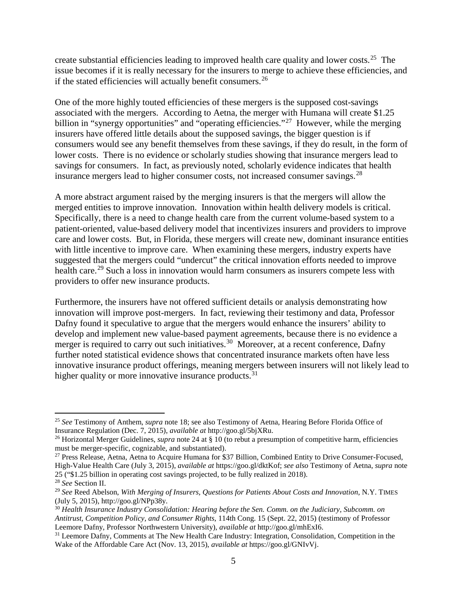create substantial efficiencies leading to improved health care quality and lower costs.<sup>[25](#page-4-0)</sup> The issue becomes if it is really necessary for the insurers to merge to achieve these efficiencies, and if the stated efficiencies will actually benefit consumers.<sup>[26](#page-4-1)</sup>

One of the more highly touted efficiencies of these mergers is the supposed cost-savings associated with the mergers. According to Aetna, the merger with Humana will create \$1.25 billion in "synergy opportunities" and "operating efficiencies."<sup>27</sup> However, while the merging insurers have offered little details about the supposed savings, the bigger question is if consumers would see any benefit themselves from these savings, if they do result, in the form of lower costs. There is no evidence or scholarly studies showing that insurance mergers lead to savings for consumers. In fact, as previously noted, scholarly evidence indicates that health insurance mergers lead to higher consumer costs, not increased consumer savings.<sup>[28](#page-4-3)</sup>

A more abstract argument raised by the merging insurers is that the mergers will allow the merged entities to improve innovation. Innovation within health delivery models is critical. Specifically, there is a need to change health care from the current volume-based system to a patient-oriented, value-based delivery model that incentivizes insurers and providers to improve care and lower costs. But, in Florida, these mergers will create new, dominant insurance entities with little incentive to improve care. When examining these mergers, industry experts have suggested that the mergers could "undercut" the critical innovation efforts needed to improve health care.<sup>[29](#page-4-4)</sup> Such a loss in innovation would harm consumers as insurers compete less with providers to offer new insurance products.

Furthermore, the insurers have not offered sufficient details or analysis demonstrating how innovation will improve post-mergers. In fact, reviewing their testimony and data, Professor Dafny found it speculative to argue that the mergers would enhance the insurers' ability to develop and implement new value-based payment agreements, because there is no evidence a merger is required to carry out such initiatives.<sup>[30](#page-4-5)</sup> Moreover, at a recent conference, Dafny further noted statistical evidence shows that concentrated insurance markets often have less innovative insurance product offerings, meaning mergers between insurers will not likely lead to higher quality or more innovative insurance products.<sup>[31](#page-4-6)</sup>

<span id="page-4-0"></span> <sup>25</sup> *See* Testimony of Anthem, *supra* note 18; see also Testimony of Aetna, Hearing Before Florida Office of Insurance Regulation (Dec. 7, 2015), *available at* http://goo.gl/5bjXRu.

<span id="page-4-1"></span><sup>26</sup> Horizontal Merger Guidelines, *supra* note 24 at § 10 (to rebut a presumption of competitive harm, efficiencies must be merger-specific, cognizable, and substantiated).

<span id="page-4-2"></span><sup>&</sup>lt;sup>27</sup> Press Release, Aetna, Aetna to Acquire Humana for \$37 Billion, Combined Entity to Drive Consumer-Focused, High-Value Health Care (July 3, 2015), *available at* https://goo.gl/dktKof; *see also* Testimony of Aetna, *supra* note 25 ("\$1.25 billion in operating cost savings projected, to be fully realized in 2018).

<span id="page-4-3"></span><sup>28</sup> *See* Section II.

<span id="page-4-4"></span><sup>29</sup> *See* Reed Abelson, *With Merging of Insurers, Questions for Patients About Costs and Innovation*, N.Y. TIMES (July 5, 2015), http://goo.gl/NPp38y.<br><sup>30</sup> Health Insurance Industry Consolidation: Hearing before the Sen. Comm. on the Judiciary, Subcomm. on

<span id="page-4-5"></span>*Antitrust, Competition Policy, and Consumer Rights*, 114th Cong. 15 (Sept. 22, 2015) (testimony of Professor Leemore Dafny, Professor Northwestern University), *available at* http://goo.gl/mhExI6. 31 Leemore Dafny, Comments at The New Health Care Industry: Integration, Consolidation, Competition in the

<span id="page-4-6"></span>Wake of the Affordable Care Act (Nov. 13, 2015), *available at* https://goo.gl/GNIvVj.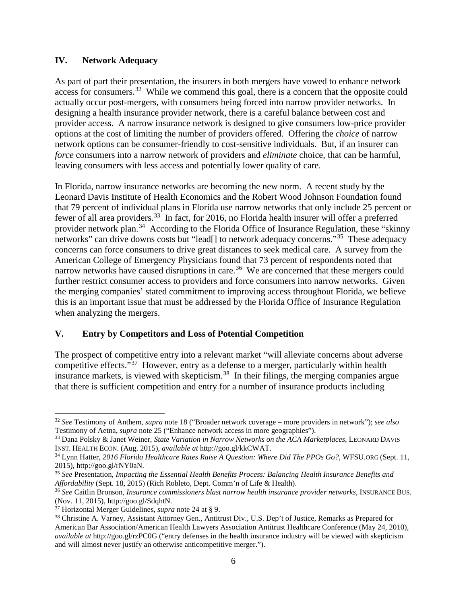#### **IV. Network Adequacy**

As part of part their presentation, the insurers in both mergers have vowed to enhance network access for consumers.<sup>32</sup> While we commend this goal, there is a concern that the opposite could actually occur post-mergers, with consumers being forced into narrow provider networks. In designing a health insurance provider network, there is a careful balance between cost and provider access. A narrow insurance network is designed to give consumers low-price provider options at the cost of limiting the number of providers offered. Offering the *choice* of narrow network options can be consumer-friendly to cost-sensitive individuals. But, if an insurer can *force* consumers into a narrow network of providers and *eliminate* choice, that can be harmful, leaving consumers with less access and potentially lower quality of care.

In Florida, narrow insurance networks are becoming the new norm. A recent study by the Leonard Davis Institute of Health Economics and the Robert Wood Johnson Foundation found that 79 percent of individual plans in Florida use narrow networks that only include 25 percent or fewer of all area providers.[33](#page-5-1) In fact, for 2016, no Florida health insurer will offer a preferred provider network plan.<sup>[34](#page-5-2)</sup> According to the Florida Office of Insurance Regulation, these "skinny networks" can drive downs costs but "lead[] to network adequacy concerns."<sup>[35](#page-5-3)</sup> These adequacy concerns can force consumers to drive great distances to seek medical care. A survey from the American College of Emergency Physicians found that 73 percent of respondents noted that narrow networks have caused disruptions in care.<sup>36</sup> We are concerned that these mergers could further restrict consumer access to providers and force consumers into narrow networks. Given the merging companies' stated commitment to improving access throughout Florida, we believe this is an important issue that must be addressed by the Florida Office of Insurance Regulation when analyzing the mergers.

## **V. Entry by Competitors and Loss of Potential Competition**

The prospect of competitive entry into a relevant market "will alleviate concerns about adverse competitive effects."[37](#page-5-5) However, entry as a defense to a merger, particularly within health insurance markets, is viewed with skepticism.[38](#page-5-6) In their filings, the merging companies argue that there is sufficient competition and entry for a number of insurance products including

<span id="page-5-0"></span> <sup>32</sup> *See* Testimony of Anthem, *supra* note 18 ("Broader network coverage – more providers in network"); *see also* Testimony of Aetna, *supra* note 25 ("Enhance network access in more geographies").

<span id="page-5-1"></span><sup>33</sup> Dana Polsky & Janet Weiner, *State Variation in Narrow Networks on the ACA Marketplaces*, LEONARD DAVIS INST. HEALTH ECON. (Aug. 2015), *available at* http://goo.gl/kkCWAT. 34 Lynn Hatter, *2016 Florida Healthcare Rates Raise A Question: Where Did The PPOs Go?*, WFSU.ORG (Sept. 11,

<span id="page-5-2"></span><sup>2015),</sup> http://goo.gl/rNY0aN.

<span id="page-5-3"></span><sup>35</sup> *See* Presentation, *Impacting the Essential Health Benefits Process: Balancing Health Insurance Benefits and* 

<span id="page-5-4"></span><sup>&</sup>lt;sup>36</sup> See Caitlin Bronson, *Insurance commissioners blast narrow health insurance provider networks*, INSURANCE BUS. (Nov. 11, 2015), http://goo.gl/SdqhtN.<br> $37$  Horizontal Merger Guidelines, *supra* note 24 at § 9.

<span id="page-5-6"></span><span id="page-5-5"></span><sup>&</sup>lt;sup>38</sup> Christine A. Varney, Assistant Attorney Gen., Antitrust Div., U.S. Dep't of Justice, Remarks as Prepared for American Bar Association/American Health Lawyers Association Antitrust Healthcare Conference (May 24, 2010), *available at* http://goo.gl/rzPC0G ("entry defenses in the health insurance industry will be viewed with skepticism and will almost never justify an otherwise anticompetitive merger.").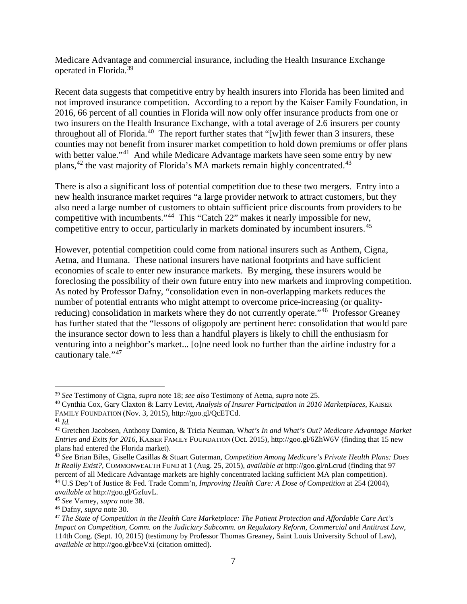Medicare Advantage and commercial insurance, including the Health Insurance Exchange operated in Florida. [39](#page-6-0)

Recent data suggests that competitive entry by health insurers into Florida has been limited and not improved insurance competition. According to a report by the Kaiser Family Foundation, in 2016, 66 percent of all counties in Florida will now only offer insurance products from one or two insurers on the Health Insurance Exchange, with a total average of 2.6 insurers per county throughout all of Florida.<sup>[40](#page-6-1)</sup> The report further states that "[w]ith fewer than 3 insurers, these counties may not benefit from insurer market competition to hold down premiums or offer plans with better value."<sup>41</sup> And while Medicare Advantage markets have seen some entry by new plans, $42$  the vast majority of Florida's MA markets remain highly concentrated.<sup>[43](#page-6-4)</sup>

There is also a significant loss of potential competition due to these two mergers. Entry into a new health insurance market requires "a large provider network to attract customers, but they also need a large number of customers to obtain sufficient price discounts from providers to be competitive with incumbents."[44](#page-6-5) This "Catch 22" makes it nearly impossible for new, competitive entry to occur, particularly in markets dominated by incumbent insurers. [45](#page-6-6) 

However, potential competition could come from national insurers such as Anthem, Cigna, Aetna, and Humana. These national insurers have national footprints and have sufficient economies of scale to enter new insurance markets. By merging, these insurers would be foreclosing the possibility of their own future entry into new markets and improving competition. As noted by Professor Dafny, "consolidation even in non-overlapping markets reduces the number of potential entrants who might attempt to overcome price-increasing (or qualityreducing) consolidation in markets where they do not currently operate."[46](#page-6-7) Professor Greaney has further stated that the "lessons of oligopoly are pertinent here: consolidation that would pare the insurance sector down to less than a handful players is likely to chill the enthusiasm for venturing into a neighbor's market... [o]ne need look no further than the airline industry for a cautionary tale."<sup>[47](#page-6-8)</sup>

<span id="page-6-1"></span><span id="page-6-0"></span> $39$  See Testimony of Cigna, *supra* note 18; see also Testimony of Aetna, *supra* note 25.<br><sup>40</sup> Cynthia Cox, Gary Claxton & Larry Levitt, *Analysis of Insurer Participation in 2016 Marketplaces*, KAISER FAMILY FOUNDATION (Nov. 3, 2015), http://goo.gl/QcETCd. 41 *Id.* 

<span id="page-6-3"></span><span id="page-6-2"></span><sup>42</sup> Gretchen Jacobsen, Anthony Damico, & Tricia Neuman, W*hat's In and What's Out? Medicare Advantage Market Entries and Exits for 2016*, KAISER FAMILY FOUNDATION (Oct. 2015), http://goo.gl/6ZhW6V (finding that 15 new plans had entered the Florida market).

<span id="page-6-4"></span><sup>43</sup> *See* Brian Biles, Giselle Casillas & Stuart Guterman, *Competition Among Medicare's Private Health Plans: Does It Really Exist?*, COMMONWEALTH FUND at 1 (Aug. 25, 2015), *available at* http://goo.gl/nLcrud (finding that 97 percent of all Medicare Advantage markets are highly concentrated lacking sufficient MA plan competition). <sup>44</sup> U.S Dep't of Justice & Fed. Trade Comm'n, *Improving Health Care: A Dose of Competition* at 254 (2004),

<span id="page-6-5"></span>available at http://goo.gl/GzIuvL.<br><sup>45</sup> See Varney, supra note 38.<br><sup>46</sup> Dafny, supra note 30.<br><sup>47</sup> The State of Competition in the Health Care Marketplace: The Patient Protection and Affordable Care Act's

<span id="page-6-6"></span>

<span id="page-6-8"></span><span id="page-6-7"></span>*Impact on Competition*, *Comm. on the Judiciary Subcomm. on Regulatory Reform, Commercial and Antitrust Law*, 114th Cong. (Sept. 10, 2015) (testimony by Professor Thomas Greaney, Saint Louis University School of Law), *available at* http://goo.gl/bceVxi (citation omitted).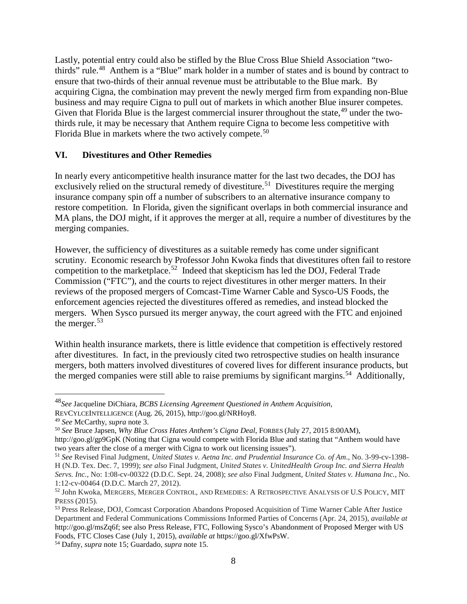Lastly, potential entry could also be stifled by the Blue Cross Blue Shield Association "two-thirds" rule.<sup>[48](#page-7-0)</sup> Anthem is a "Blue" mark holder in a number of states and is bound by contract to ensure that two-thirds of their annual revenue must be attributable to the Blue mark. By acquiring Cigna, the combination may prevent the newly merged firm from expanding non-Blue business and may require Cigna to pull out of markets in which another Blue insurer competes. Given that Florida Blue is the largest commercial insurer throughout the state,  $49$  under the twothirds rule, it may be necessary that Anthem require Cigna to become less competitive with Florida Blue in markets where the two actively compete.<sup>[50](#page-7-2)</sup>

### **VI. Divestitures and Other Remedies**

In nearly every anticompetitive health insurance matter for the last two decades, the DOJ has exclusively relied on the structural remedy of divestiture.<sup>[51](#page-7-3)</sup> Divestitures require the merging insurance company spin off a number of subscribers to an alternative insurance company to restore competition. In Florida, given the significant overlaps in both commercial insurance and MA plans, the DOJ might, if it approves the merger at all, require a number of divestitures by the merging companies.

However, the sufficiency of divestitures as a suitable remedy has come under significant scrutiny. Economic research by Professor John Kwoka finds that divestitures often fail to restore competition to the marketplace.<sup>52</sup> Indeed that skepticism has led the DOJ, Federal Trade Commission ("FTC"), and the courts to reject divestitures in other merger matters. In their reviews of the proposed mergers of Comcast-Time Warner Cable and Sysco-US Foods, the enforcement agencies rejected the divestitures offered as remedies, and instead blocked the mergers. When Sysco pursued its merger anyway, the court agreed with the FTC and enjoined the merger.<sup>[53](#page-7-5)</sup>

Within health insurance markets, there is little evidence that competition is effectively restored after divestitures. In fact, in the previously cited two retrospective studies on health insurance mergers, both matters involved divestitures of covered lives for different insurance products, but the merged companies were still able to raise premiums by significant margins.<sup>[54](#page-7-6)</sup> Additionally,

<span id="page-7-0"></span> <sup>48</sup>*See* Jacqueline DiChiara, *BCBS Licensing Agreement Questioned in Anthem Acquisition*,

REVCYLCEINTELLIGENCE (Aug. 26, 2015), http://goo.gl/NRHoy8.

<span id="page-7-1"></span><sup>49</sup> *See* McCarthy, *supra* note 3. 50 *See* Bruce Japsen, *Why Blue Cross Hates Anthem's Cigna Deal*, FORBES (July 27, 2015 8:00AM),

<span id="page-7-2"></span>http://goo.gl/gp9GpK (Noting that Cigna would compete with Florida Blue and stating that "Anthem would have two years after the close of a merger with Cigna to work out licensing issues").

<span id="page-7-3"></span><sup>51</sup> *See* Revised Final Judgment, *United States v. Aetna Inc. and Prudential Insurance Co. of Am*., No. 3-99-cv-1398- H (N.D. Tex. Dec. 7, 1999); *see also* Final Judgment, *United States v. UnitedHealth Group Inc. and Sierra Health Servs. Inc.*, No: 1:08-cv-00322 (D.D.C. Sept. 24, 2008); *see also* Final Judgment, *United States v. Humana Inc.*, No.

<span id="page-7-4"></span><sup>52</sup> John Kwoka, MERGERS, MERGER CONTROL, AND REMEDIES: A RETROSPECTIVE ANALYSIS OF U.S POLICY, MIT PRESS (2015).<br><sup>53</sup> Press Release, DOJ, Comcast Corporation Abandons Proposed Acquisition of Time Warner Cable After Justice

<span id="page-7-5"></span>Department and Federal Communications Commissions Informed Parties of Concerns (Apr. 24, 2015), *available at*  http://goo.gl/msZq6f; see also Press Release, FTC, Following Sysco's Abandonment of Proposed Merger with US Foods, FTC Closes Case (July 1, 2015), *available at* https://goo.gl/XfwPsW. 54 Dafny, *supra* note 15; Guardado, *supra* note 15.

<span id="page-7-6"></span>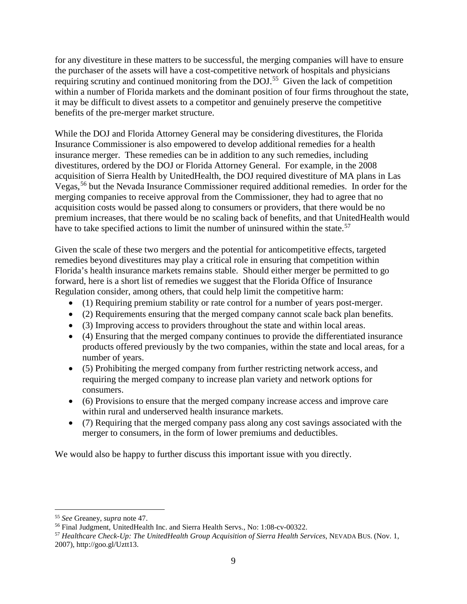for any divestiture in these matters to be successful, the merging companies will have to ensure the purchaser of the assets will have a cost-competitive network of hospitals and physicians requiring scrutiny and continued monitoring from the DOJ.[55](#page-8-0) Given the lack of competition within a number of Florida markets and the dominant position of four firms throughout the state, it may be difficult to divest assets to a competitor and genuinely preserve the competitive benefits of the pre-merger market structure.

While the DOJ and Florida Attorney General may be considering divestitures, the Florida Insurance Commissioner is also empowered to develop additional remedies for a health insurance merger. These remedies can be in addition to any such remedies, including divestitures, ordered by the DOJ or Florida Attorney General. For example, in the 2008 acquisition of Sierra Health by UnitedHealth, the DOJ required divestiture of MA plans in Las Vegas,[56](#page-8-1) but the Nevada Insurance Commissioner required additional remedies. In order for the merging companies to receive approval from the Commissioner, they had to agree that no acquisition costs would be passed along to consumers or providers, that there would be no premium increases, that there would be no scaling back of benefits, and that UnitedHealth would have to take specified actions to limit the number of uninsured within the state.<sup>[57](#page-8-2)</sup>

Given the scale of these two mergers and the potential for anticompetitive effects, targeted remedies beyond divestitures may play a critical role in ensuring that competition within Florida's health insurance markets remains stable. Should either merger be permitted to go forward, here is a short list of remedies we suggest that the Florida Office of Insurance Regulation consider, among others, that could help limit the competitive harm:

- (1) Requiring premium stability or rate control for a number of years post-merger.
- (2) Requirements ensuring that the merged company cannot scale back plan benefits.
- (3) Improving access to providers throughout the state and within local areas.
- (4) Ensuring that the merged company continues to provide the differentiated insurance products offered previously by the two companies, within the state and local areas, for a number of years.
- (5) Prohibiting the merged company from further restricting network access, and requiring the merged company to increase plan variety and network options for consumers.
- (6) Provisions to ensure that the merged company increase access and improve care within rural and underserved health insurance markets.
- (7) Requiring that the merged company pass along any cost savings associated with the merger to consumers, in the form of lower premiums and deductibles.

We would also be happy to further discuss this important issue with you directly.

<span id="page-8-0"></span> <sup>55</sup> *See* Greaney, *supra* note 47.

<span id="page-8-1"></span><sup>56</sup> Final Judgment, UnitedHealth Inc. and Sierra Health Servs., No: 1:08-cv-00322.

<span id="page-8-2"></span><sup>57</sup> *Healthcare Check-Up: The UnitedHealth Group Acquisition of Sierra Health Services*, NEVADA BUS. (Nov. 1, 2007), http://goo.gl/Uztt13.